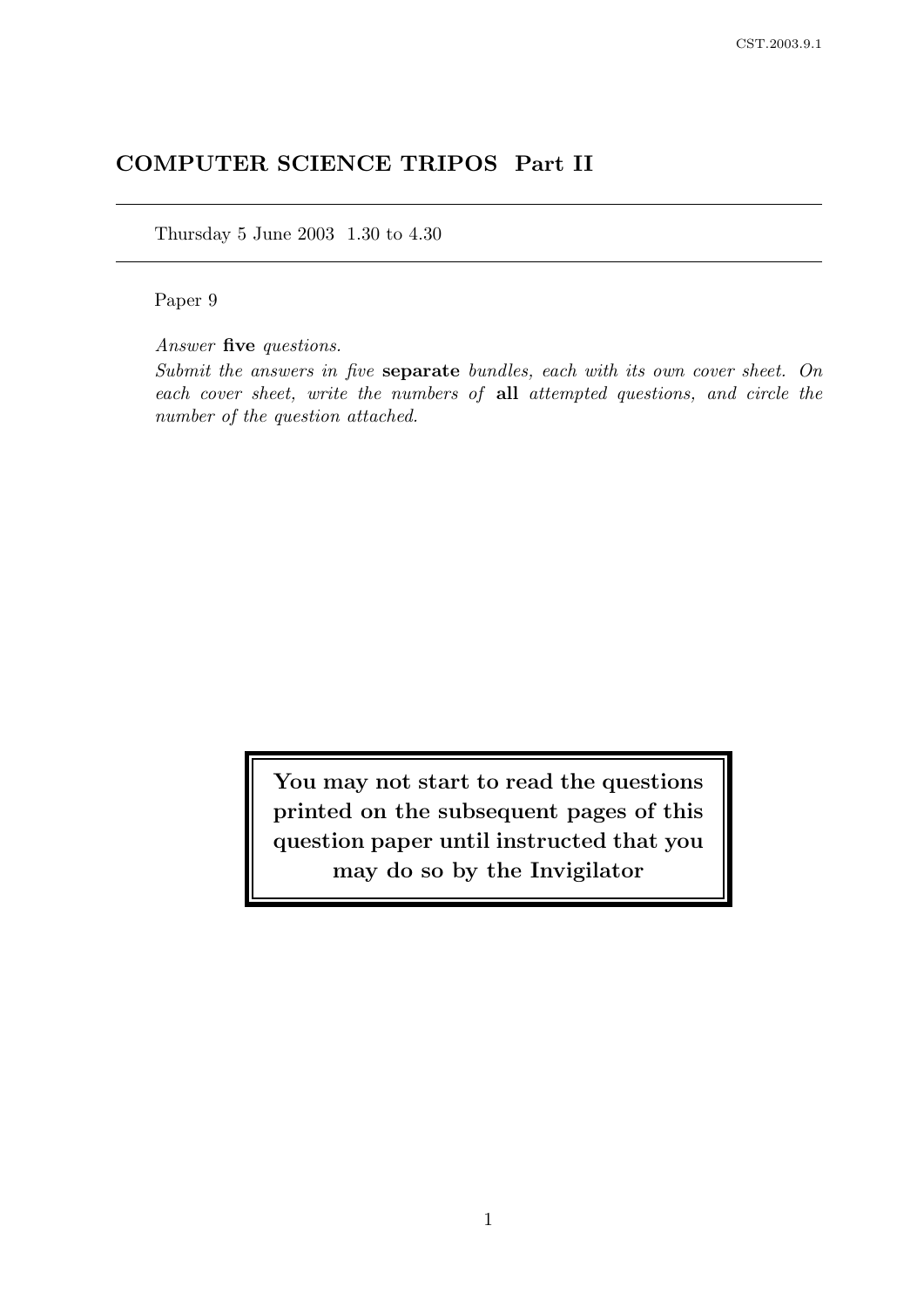# COMPUTER SCIENCE TRIPOS Part II

Thursday 5 June 2003 1.30 to 4.30

Paper 9

Answer five questions.

Submit the answers in five separate bundles, each with its own cover sheet. On each cover sheet, write the numbers of all attempted questions, and circle the number of the question attached.

> You may not start to read the questions printed on the subsequent pages of this question paper until instructed that you may do so by the Invigilator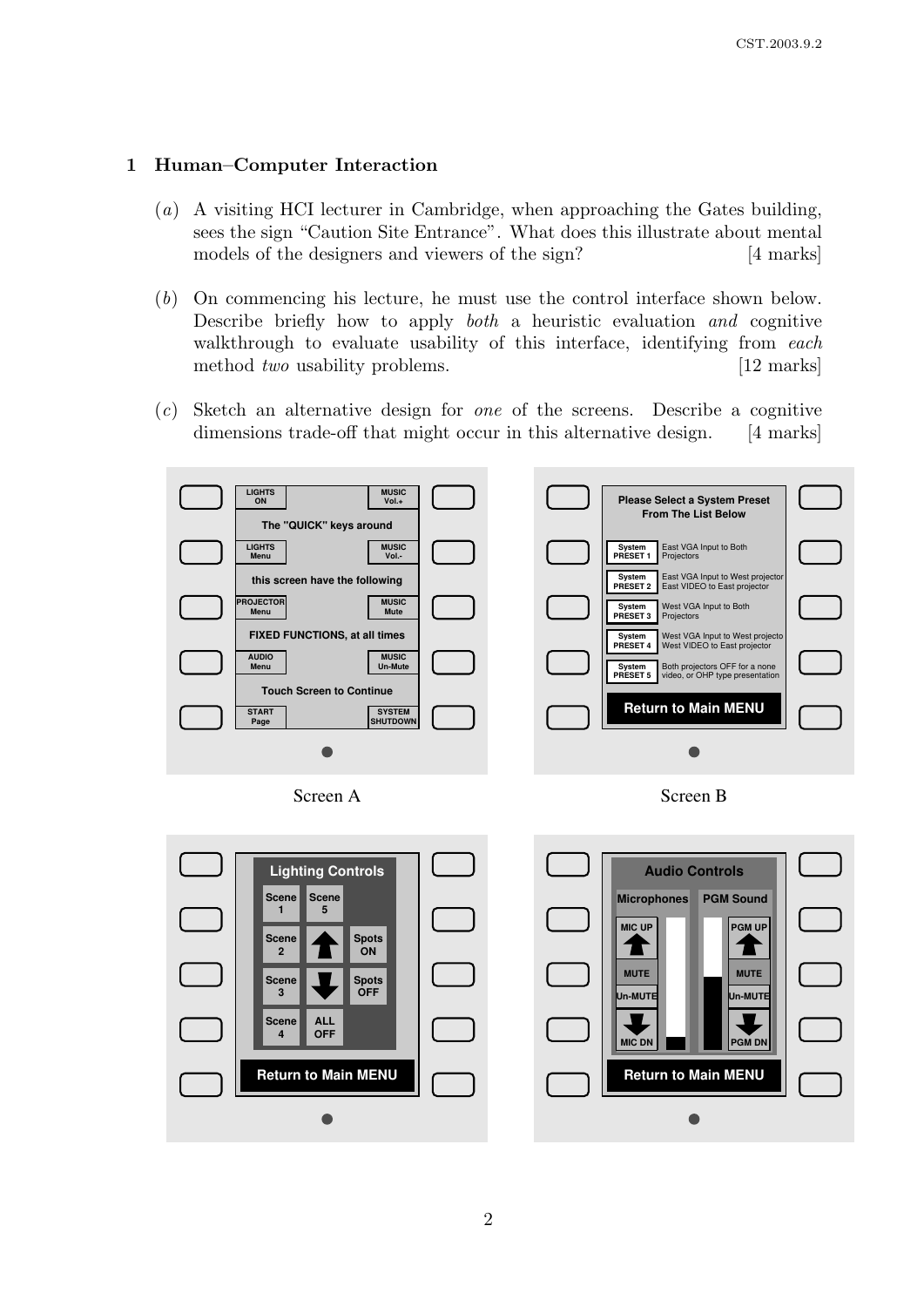# 1 Human–Computer Interaction

- (a) A visiting HCI lecturer in Cambridge, when approaching the Gates building, sees the sign "Caution Site Entrance". What does this illustrate about mental models of the designers and viewers of the sign? [4 marks]
- (b) On commencing his lecture, he must use the control interface shown below. Describe briefly how to apply both a heuristic evaluation and cognitive walkthrough to evaluate usability of this interface, identifying from each method *two* usability problems. [12 marks]
- (c) Sketch an alternative design for one of the screens. Describe a cognitive dimensions trade-off that might occur in this alternative design. [4 marks]



Screen A



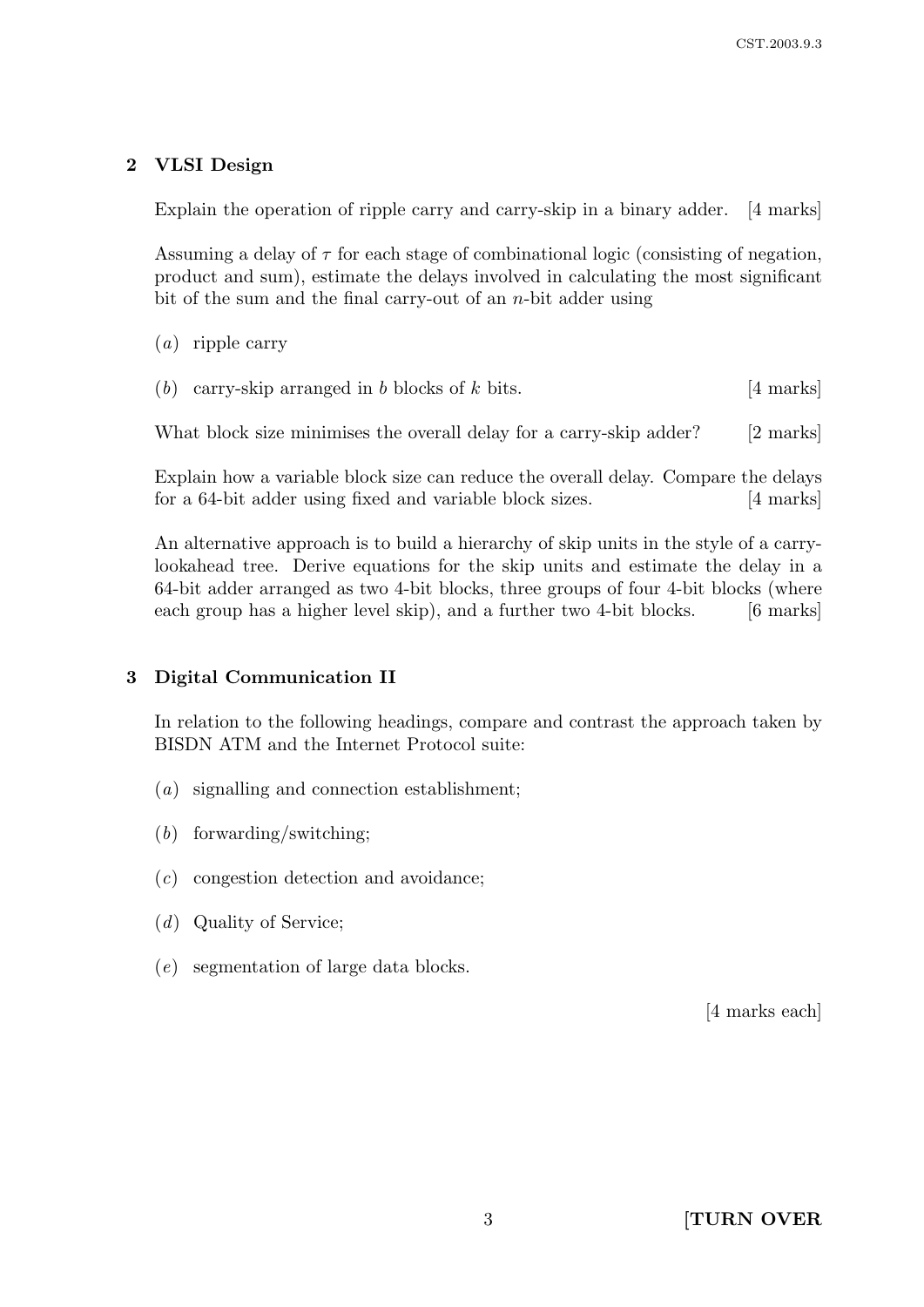# 2 VLSI Design

Explain the operation of ripple carry and carry-skip in a binary adder. [4 marks]

Assuming a delay of  $\tau$  for each stage of combinational logic (consisting of negation, product and sum), estimate the delays involved in calculating the most significant bit of the sum and the final carry-out of an  $n$ -bit adder using

(a) ripple carry

(b) carry-skip arranged in b blocks of k bits.  $[4 \text{ marks}]$ 

What block size minimises the overall delay for a carry-skip adder? [2 marks]

Explain how a variable block size can reduce the overall delay. Compare the delays for a 64-bit adder using fixed and variable block sizes. [4 marks]

An alternative approach is to build a hierarchy of skip units in the style of a carrylookahead tree. Derive equations for the skip units and estimate the delay in a 64-bit adder arranged as two 4-bit blocks, three groups of four 4-bit blocks (where each group has a higher level skip), and a further two 4-bit blocks. [6 marks]

# 3 Digital Communication II

In relation to the following headings, compare and contrast the approach taken by BISDN ATM and the Internet Protocol suite:

- (a) signalling and connection establishment;
- (b) forwarding/switching;
- (c) congestion detection and avoidance;
- (d) Quality of Service;
- (e) segmentation of large data blocks.

[4 marks each]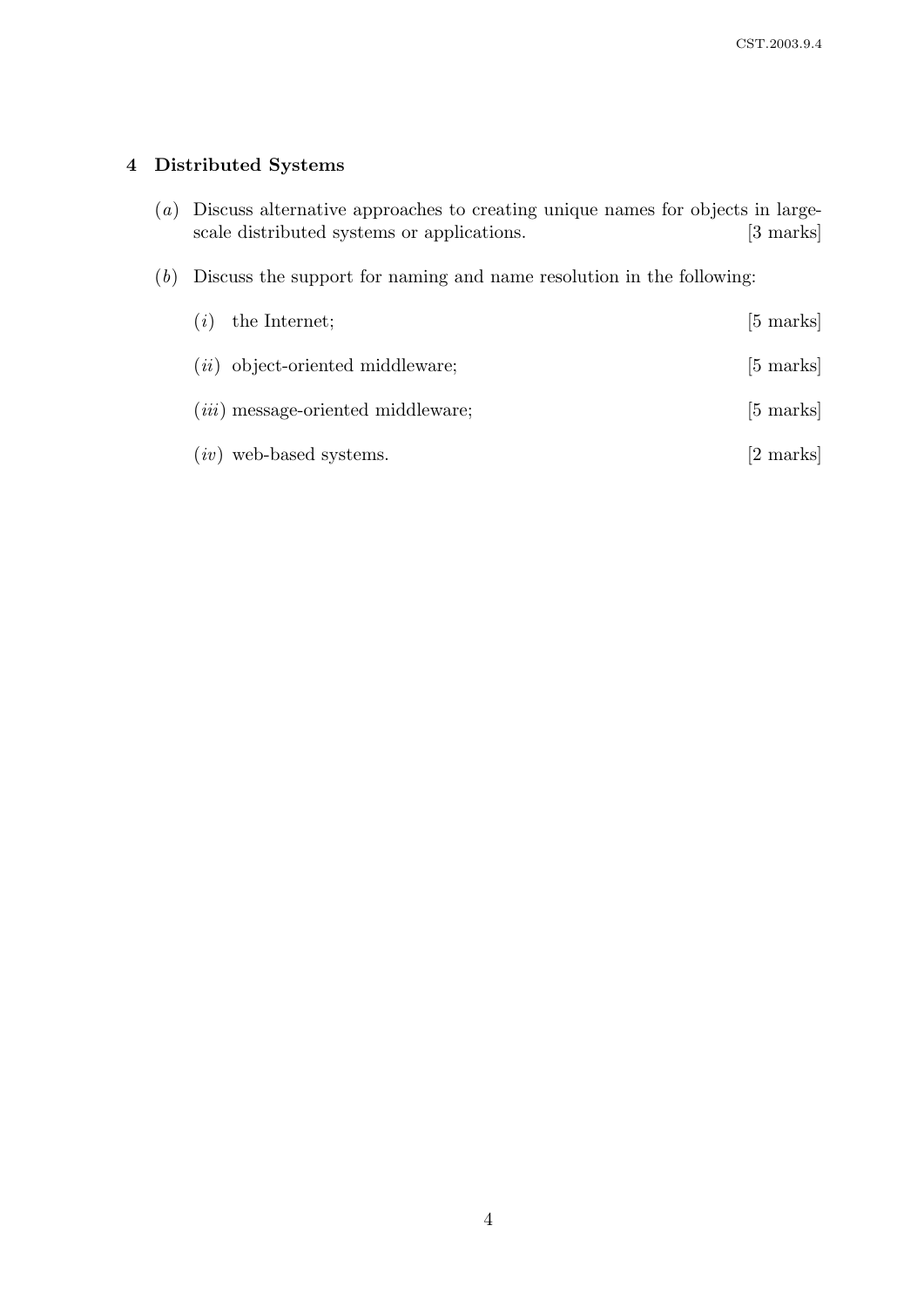# 4 Distributed Systems

- (a) Discuss alternative approaches to creating unique names for objects in largescale distributed systems or applications. [3 marks]
- (b) Discuss the support for naming and name resolution in the following:

| (i) | the Internet;                             | $[5 \text{ marks}]$ |
|-----|-------------------------------------------|---------------------|
|     | $(ii)$ object-oriented middleware;        | $[5 \text{ marks}]$ |
|     | <i>(iii)</i> message-oriented middleware; | $[5 \text{ marks}]$ |
|     | $(iv)$ web-based systems.                 | [2 marks]           |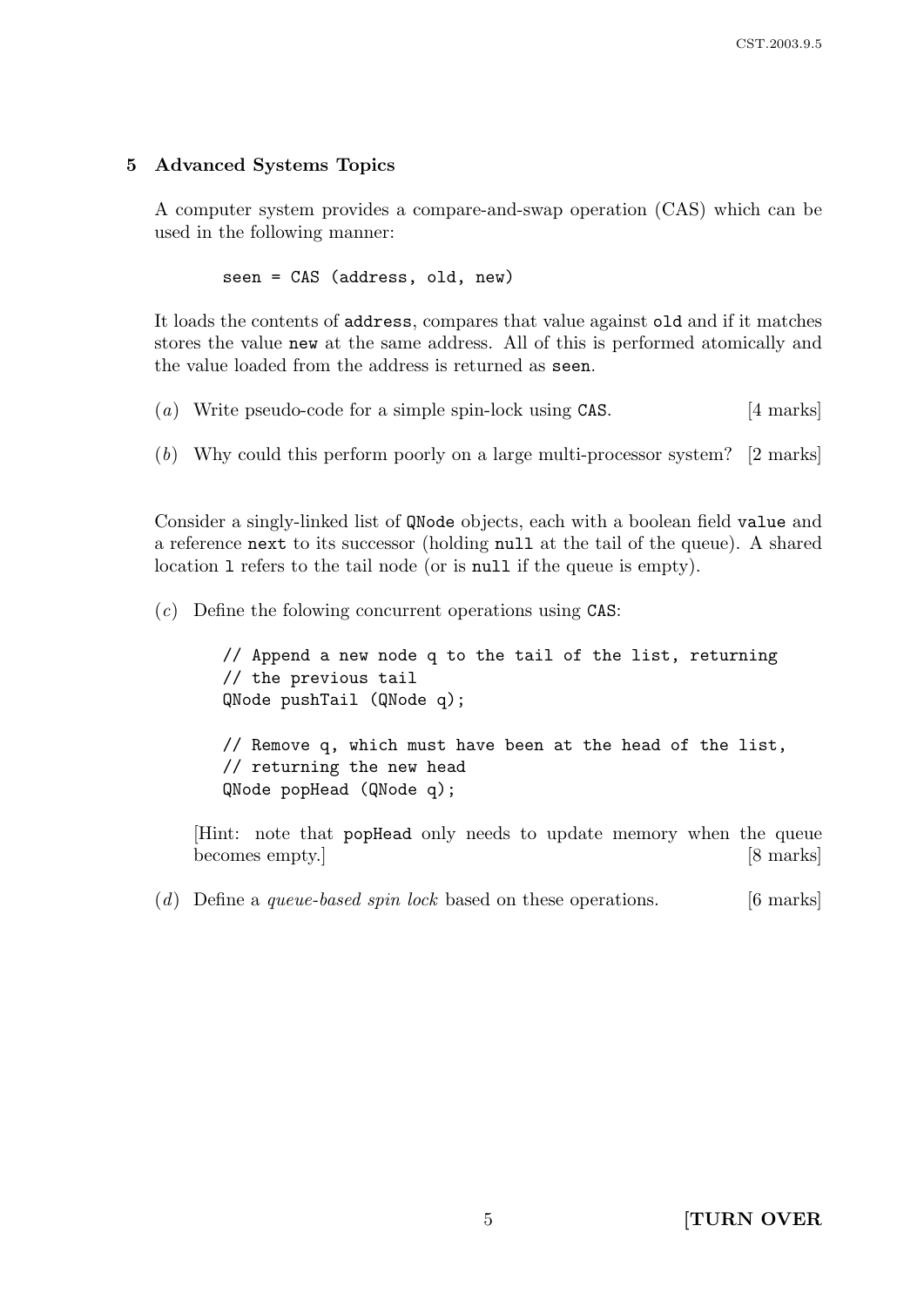# 5 Advanced Systems Topics

A computer system provides a compare-and-swap operation (CAS) which can be used in the following manner:

seen = CAS (address, old, new)

It loads the contents of address, compares that value against old and if it matches stores the value new at the same address. All of this is performed atomically and the value loaded from the address is returned as seen.

(a) Write pseudo-code for a simple spin-lock using CAS.  $[4 \text{ marks}]$ 

(b) Why could this perform poorly on a large multi-processor system? [2 marks]

Consider a singly-linked list of QNode objects, each with a boolean field value and a reference next to its successor (holding null at the tail of the queue). A shared location l refers to the tail node (or is null if the queue is empty).

 $(c)$  Define the folowing concurrent operations using CAS:

// Append a new node q to the tail of the list, returning // the previous tail QNode pushTail (QNode q); // Remove q, which must have been at the head of the list, // returning the new head QNode popHead (QNode q);

[Hint: note that popHead only needs to update memory when the queue becomes empty.] [8 marks]

(d) Define a queue-based spin lock based on these operations.  $[6 \text{ marks}]$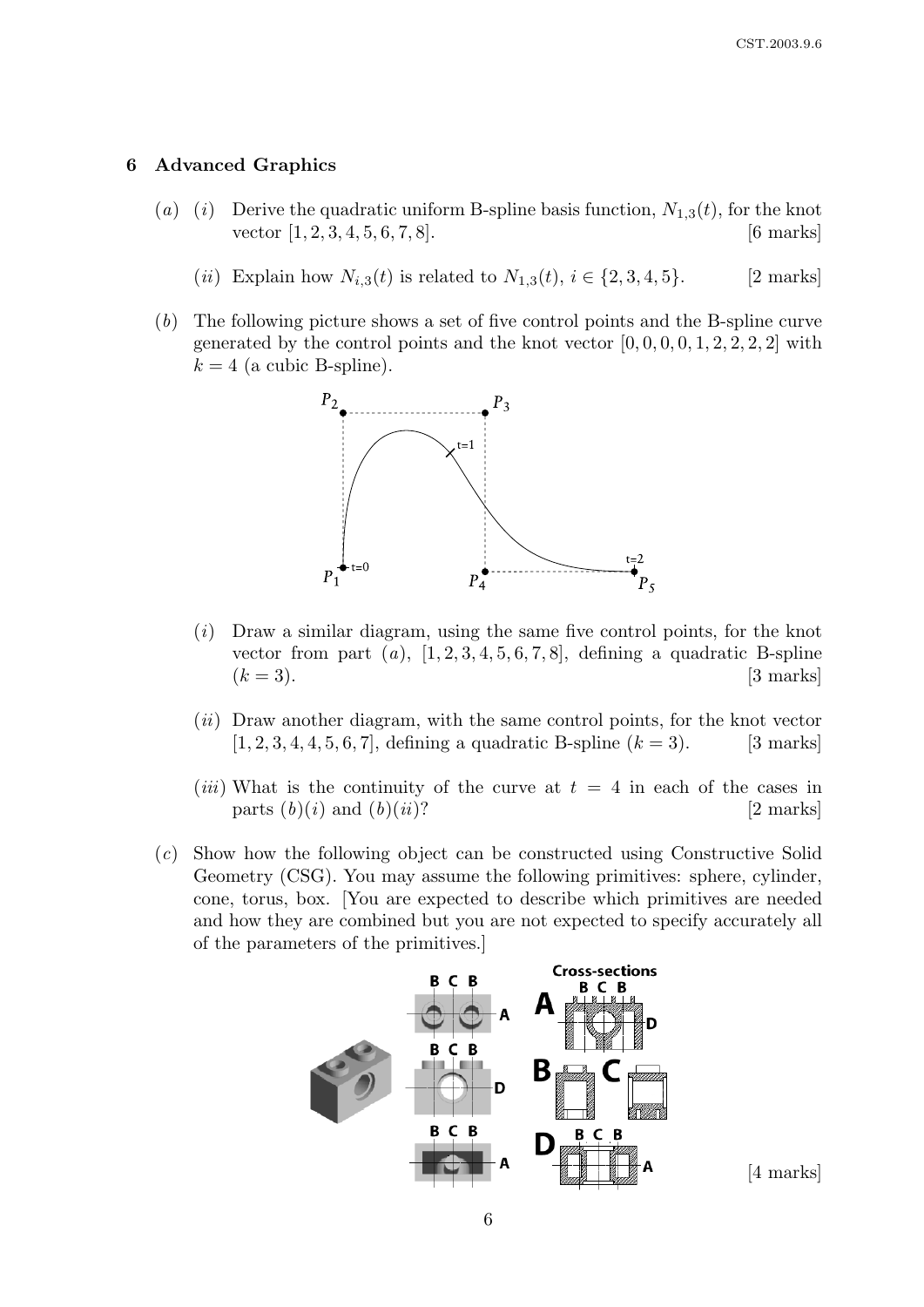#### 6 Advanced Graphics

- (a) (i) Derive the quadratic uniform B-spline basis function,  $N_{1,3}(t)$ , for the knot vector  $[1, 2, 3, 4, 5, 6, 7, 8]$ . [6 marks]
	- (*ii*) Explain how  $N_{i,3}(t)$  is related to  $N_{1,3}(t)$ ,  $i \in \{2, 3, 4, 5\}.$  [2 marks]
- (b) The following picture shows a set of five control points and the B-spline curve generated by the control points and the knot vector  $[0, 0, 0, 0, 1, 2, 2, 2, 2]$  with  $k = 4$  (a cubic B-spline).



- $(i)$  Draw a similar diagram, using the same five control points, for the knot vector from part  $(a)$ ,  $[1, 2, 3, 4, 5, 6, 7, 8]$ , defining a quadratic B-spline  $(k = 3)$ . [3 marks]
- $(ii)$  Draw another diagram, with the same control points, for the knot vector  $[1, 2, 3, 4, 4, 5, 6, 7]$ , defining a quadratic B-spline  $(k = 3)$ . [3 marks]
- (*iii*) What is the continuity of the curve at  $t = 4$  in each of the cases in parts  $(b)(i)$  and  $(b)(ii)$ ? [2 marks]
- (c) Show how the following object can be constructed using Constructive Solid Geometry (CSG). You may assume the following primitives: sphere, cylinder, cone, torus, box. [You are expected to describe which primitives are needed and how they are combined but you are not expected to specify accurately all of the parameters of the primitives.]



6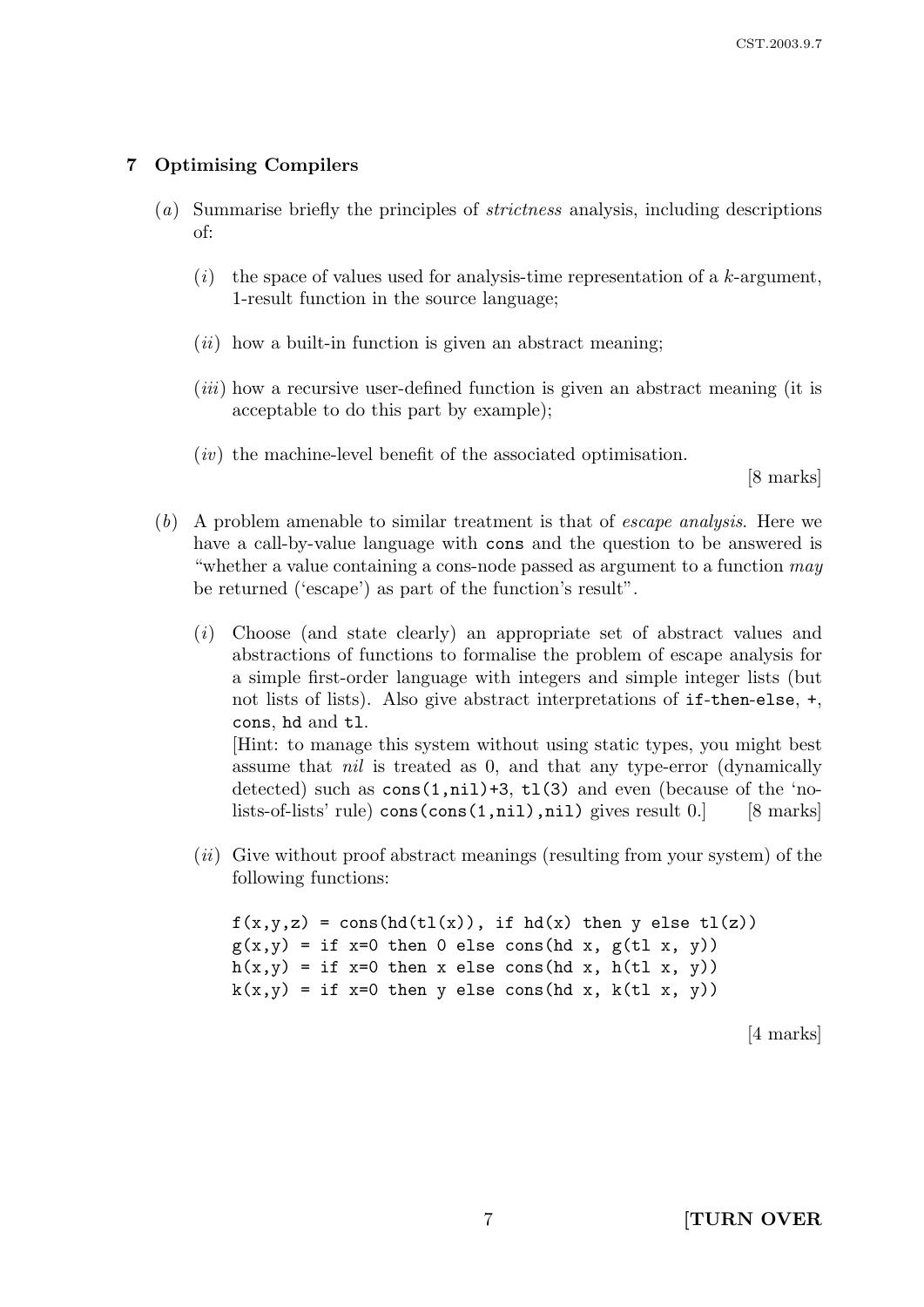# 7 Optimising Compilers

- (a) Summarise briefly the principles of strictness analysis, including descriptions of:
	- $(i)$  the space of values used for analysis-time representation of a k-argument, 1-result function in the source language;
	- $(ii)$  how a built-in function is given an abstract meaning;
	- $(iii)$  how a recursive user-defined function is given an abstract meaning (it is acceptable to do this part by example);
	- $(iv)$  the machine-level benefit of the associated optimisation.

[8 marks]

- (b) A problem amenable to similar treatment is that of escape analysis. Here we have a call-by-value language with cons and the question to be answered is "whether a value containing a cons-node passed as argument to a function may be returned ('escape') as part of the function's result".
	- (i) Choose (and state clearly) an appropriate set of abstract values and abstractions of functions to formalise the problem of escape analysis for a simple first-order language with integers and simple integer lists (but not lists of lists). Also give abstract interpretations of if-then-else, +, cons, hd and tl.

[Hint: to manage this system without using static types, you might best assume that *nil* is treated as 0, and that any type-error (dynamically detected) such as  $\cos(1,\text{nil})+3$ ,  $\text{tl}(3)$  and even (because of the 'nolists-of-lists' rule)  $\cos(\cos(1,ni))$ ,nil) gives result 0.] [8 marks]

 $(ii)$  Give without proof abstract meanings (resulting from your system) of the following functions:

```
f(x,y,z) = \cos(hd(t1(x)), if hd(x) then y else tl(z))
g(x,y) = if x=0 then 0 else cons(hd x, g(t1 x, y))
h(x,y) = if x=0 then x else cons(hd x, h(tl x, y))
k(x,y) = if x=0 then y else cons(hd x, k(t1 x, y))
```
[4 marks]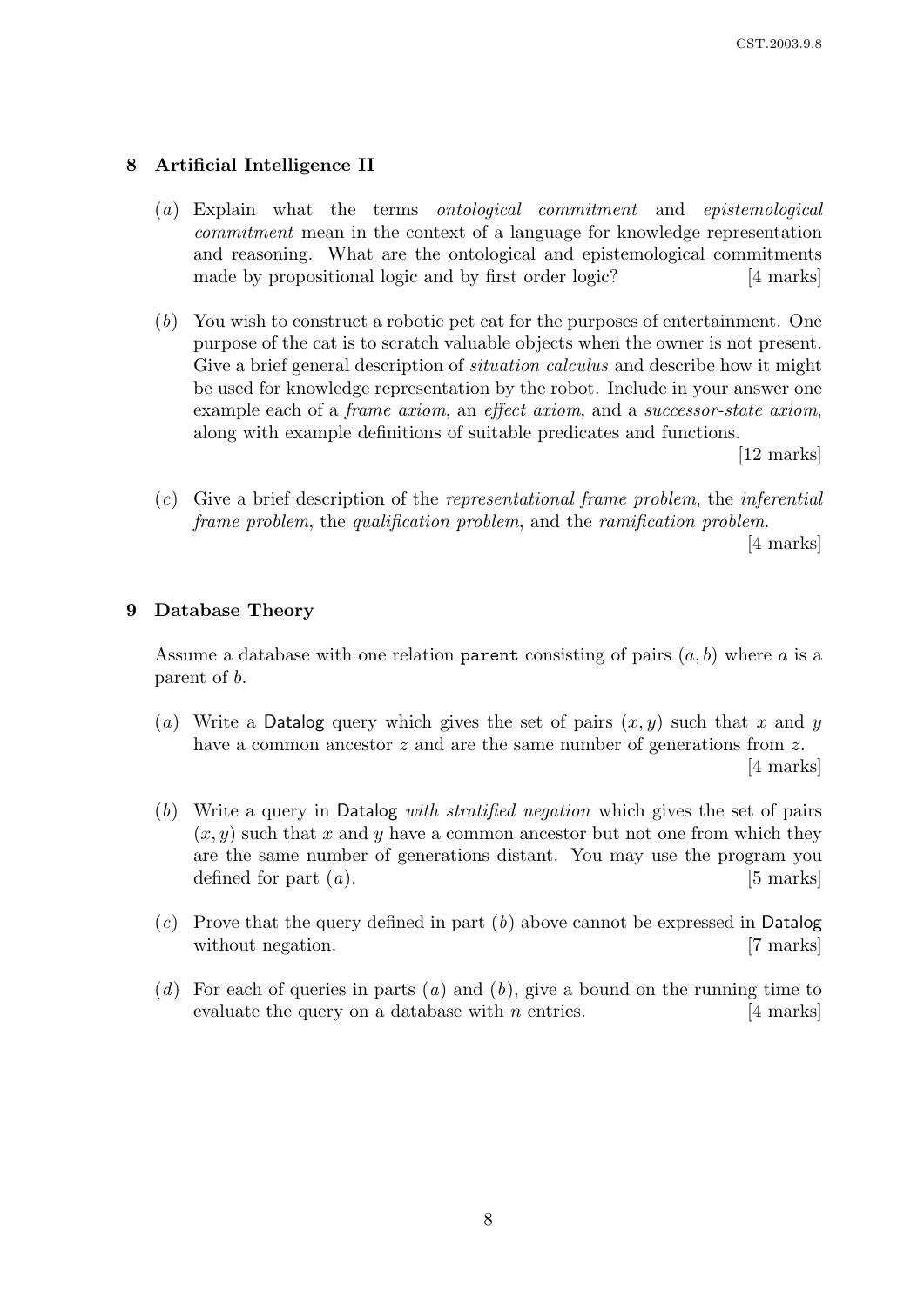# 8 Artificial Intelligence II

- (a) Explain what the terms ontological commitment and epistemological commitment mean in the context of a language for knowledge representation and reasoning. What are the ontological and epistemological commitments made by propositional logic and by first order logic? [4 marks]
- (b) You wish to construct a robotic pet cat for the purposes of entertainment. One purpose of the cat is to scratch valuable objects when the owner is not present. Give a brief general description of *situation calculus* and describe how it might be used for knowledge representation by the robot. Include in your answer one example each of a *frame axiom*, an *effect axiom*, and a *successor-state axiom*, along with example definitions of suitable predicates and functions.

[12 marks]

(c) Give a brief description of the representational frame problem, the inferential frame problem, the qualification problem, and the ramification problem.

[4 marks]

#### 9 Database Theory

Assume a database with one relation parent consisting of pairs  $(a, b)$  where a is a parent of b.

- (a) Write a Datalog query which gives the set of pairs  $(x, y)$  such that x and y have a common ancestor z and are the same number of generations from z. [4 marks]
- (b) Write a query in Datalog with stratified negation which gives the set of pairs  $(x, y)$  such that x and y have a common ancestor but not one from which they are the same number of generations distant. You may use the program you defined for part  $(a)$ . [5 marks]
- $(c)$  Prove that the query defined in part  $(b)$  above cannot be expressed in Datalog without negation. [7 marks]
- (d) For each of queries in parts (a) and (b), give a bound on the running time to evaluate the query on a database with  $n$  entries.  $[4 \text{ marks}]$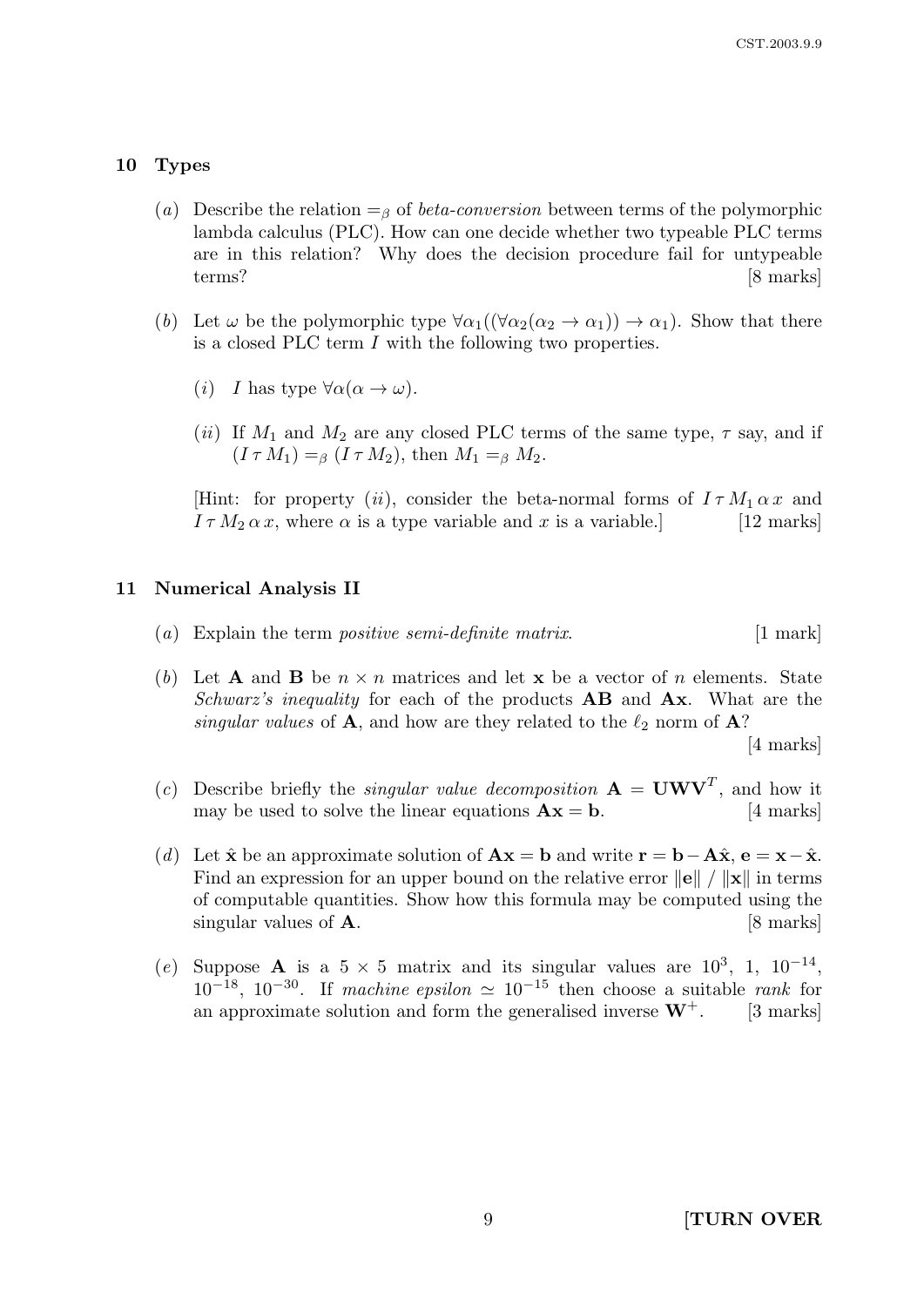#### 10 Types

- (a) Describe the relation  $=$ <sub>β</sub> of *beta-conversion* between terms of the polymorphic lambda calculus (PLC). How can one decide whether two typeable PLC terms are in this relation? Why does the decision procedure fail for untypeable terms? [8 marks]
- (b) Let  $\omega$  be the polymorphic type  $\forall \alpha_1((\forall \alpha_2(\alpha_2 \rightarrow \alpha_1)) \rightarrow \alpha_1)$ . Show that there is a closed PLC term I with the following two properties.
	- (*i*) I has type  $\forall \alpha (\alpha \rightarrow \omega)$ .
	- (ii) If  $M_1$  and  $M_2$  are any closed PLC terms of the same type,  $\tau$  say, and if  $(I \tau M_1) =_\beta (I \tau M_2)$ , then  $M_1 =_\beta M_2$ .

[Hint: for property (ii), consider the beta-normal forms of  $I \tau M_1 \alpha x$  and  $I \tau M_2 \alpha x$ , where  $\alpha$  is a type variable and x is a variable. [12 marks]

#### 11 Numerical Analysis II

- (a) Explain the term *positive semi-definite matrix*.  $[1 \text{ mark}]$
- (b) Let **A** and **B** be  $n \times n$  matrices and let **x** be a vector of n elements. State Schwarz's inequality for each of the products  $AB$  and  $Ax$ . What are the singular values of **A**, and how are they related to the  $\ell_2$  norm of **A**?

[4 marks]

- (c) Describe briefly the *singular value decomposition*  $\mathbf{A} = \mathbf{U}\mathbf{W}\mathbf{V}^T$ , and how it may be used to solve the linear equations  $\mathbf{A}\mathbf{x} = \mathbf{b}$ . [4 marks]
- (d) Let  $\hat{x}$  be an approximate solution of  $\mathbf{A}\mathbf{x} = \mathbf{b}$  and write  $\mathbf{r} = \mathbf{b} \mathbf{A}\hat{x}$ ,  $\mathbf{e} = \mathbf{x} \hat{x}$ . Find an expression for an upper bound on the relative error  $\|\mathbf{e}\| / \|\mathbf{x}\|$  in terms of computable quantities. Show how this formula may be computed using the singular values of  $\mathbf{A}$ . [8 marks]
- (e) Suppose A is a  $5 \times 5$  matrix and its singular values are  $10^3$ , 1,  $10^{-14}$ ,  $10^{-18}$ ,  $10^{-30}$ . If machine epsilon  $\simeq 10^{-15}$  then choose a suitable rank for an approximate solution and form the generalised inverse  $W^+$ . [3 marks]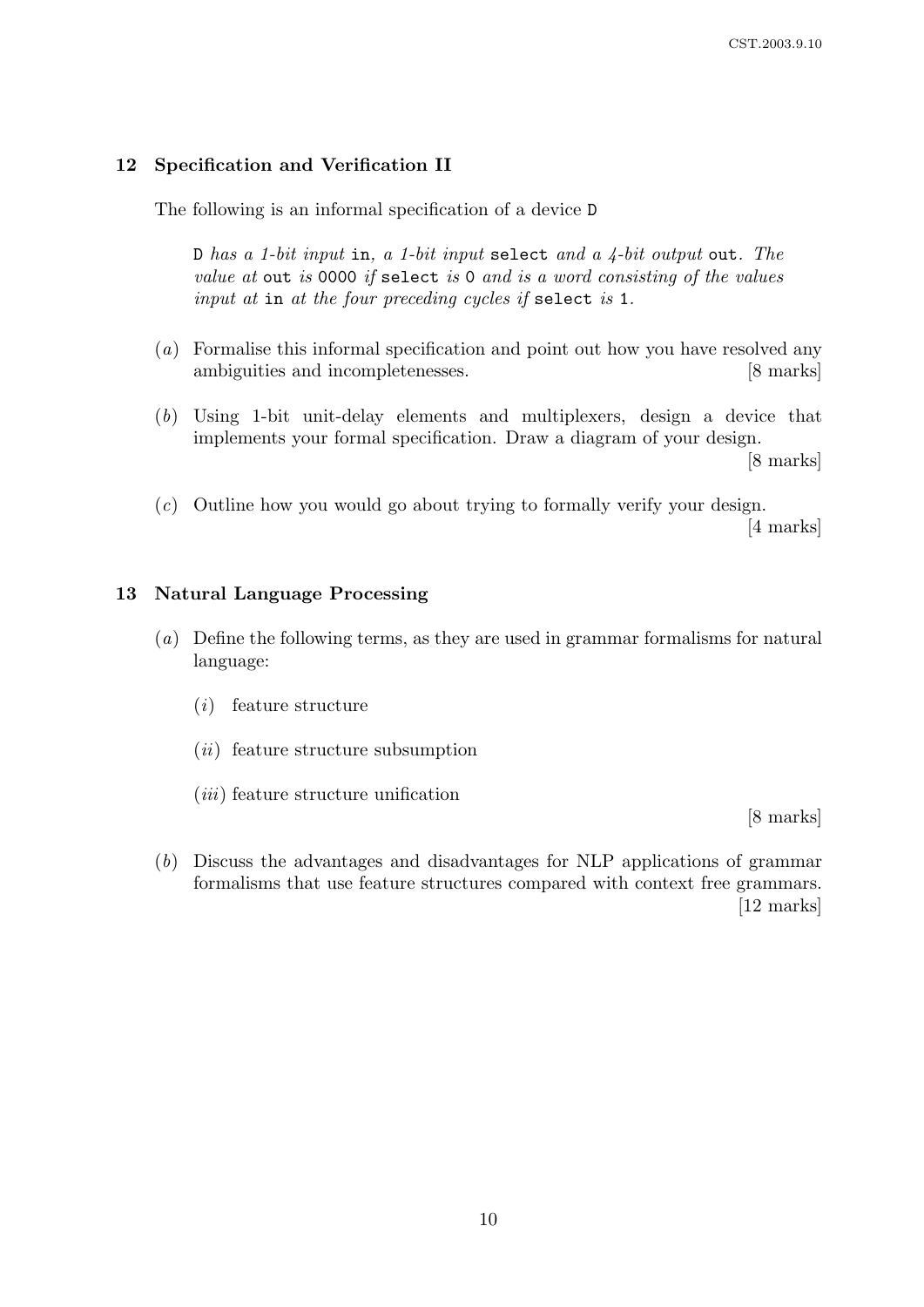# 12 Specification and Verification II

The following is an informal specification of a device D

D has a 1-bit input in, a 1-bit input select and a  $\frac{1}{4}$ -bit output out. The value at out is 0000 if select is 0 and is a word consisting of the values input at in at the four preceding cycles if select is 1.

- (a) Formalise this informal specification and point out how you have resolved any ambiguities and incompletenesses. [8 marks]
- (b) Using 1-bit unit-delay elements and multiplexers, design a device that implements your formal specification. Draw a diagram of your design.

[8 marks]

(c) Outline how you would go about trying to formally verify your design.

[4 marks]

### 13 Natural Language Processing

- (a) Define the following terms, as they are used in grammar formalisms for natural language:
	- (i) feature structure
	- $(ii)$  feature structure subsumption
	- $(iii)$  feature structure unification

[8 marks]

(b) Discuss the advantages and disadvantages for NLP applications of grammar formalisms that use feature structures compared with context free grammars. [12 marks]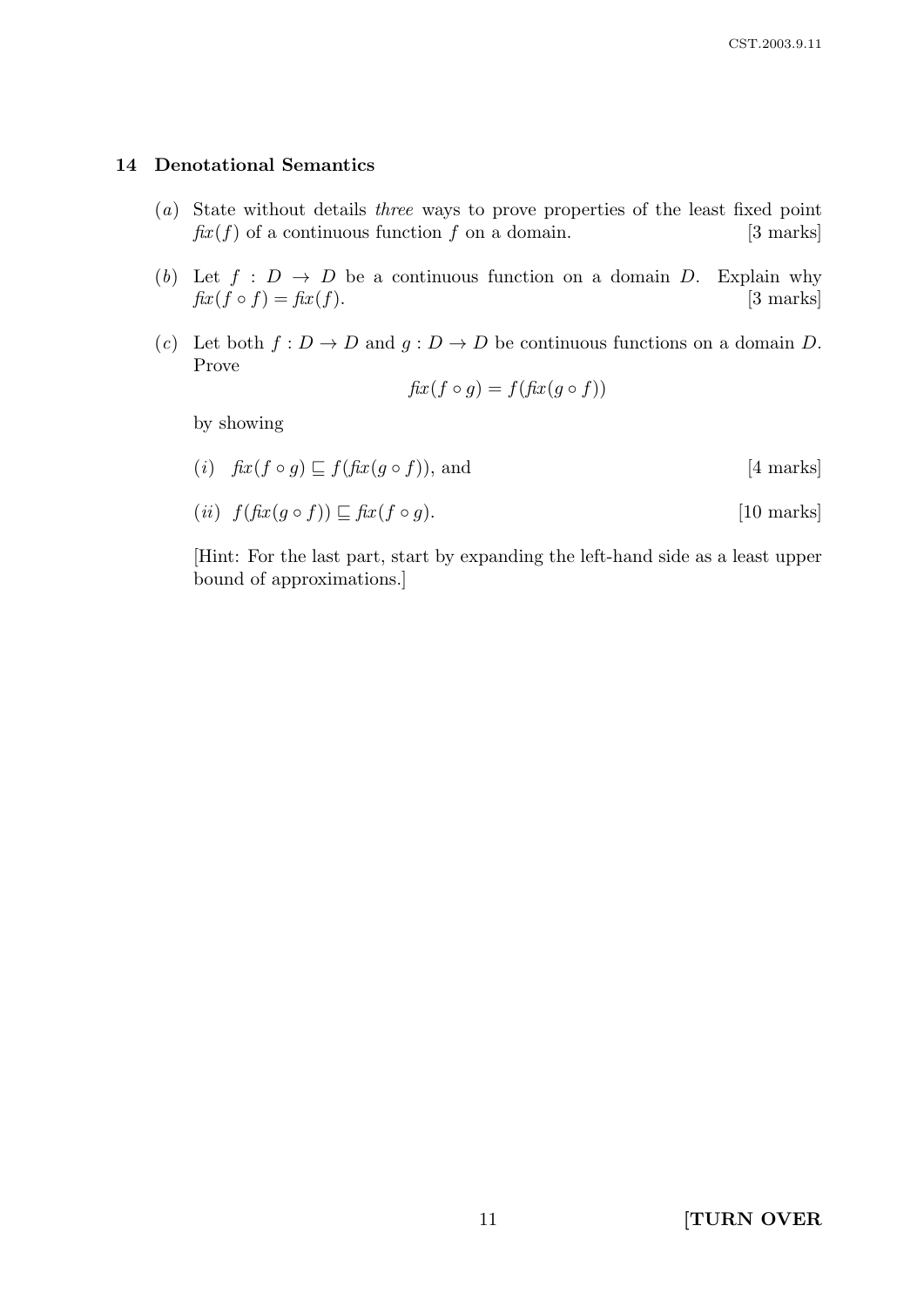# 14 Denotational Semantics

- (a) State without details three ways to prove properties of the least fixed point  $\hat{f}xx(f)$  of a continuous function f on a domain. [3 marks]
- (b) Let  $f : D \to D$  be a continuous function on a domain D. Explain why  $\operatorname{fix}(f \circ f) = \operatorname{fix}(f).$  [3 marks]
- (c) Let both  $f: D \to D$  and  $g: D \to D$  be continuous functions on a domain D. Prove

$$
fix(f \circ g) = f(fix(g \circ f))
$$

by showing

(i)  $\operatorname{fix}(f \circ g) \sqsubseteq f(\operatorname{fix}(g \circ f))$ , and [4 marks]

$$
(ii) f(fx(g \circ f)) \sqsubseteq fix(f \circ g).
$$
 [10 marks]

[Hint: For the last part, start by expanding the left-hand side as a least upper bound of approximations.]